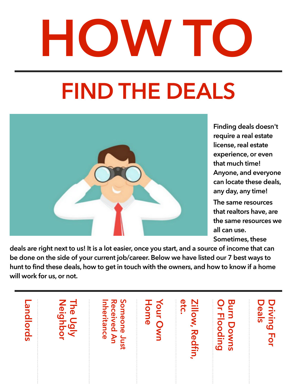# **HOW TO**

## **FIND THE DEALS**



**Finding deals doesn't require a real estate license, real estate experience, or even that much time! Anyone, and everyone can locate these deals, any day, any time!** 

**The same resources that realtors have, are the same resources we all can use. Sometimes, these** 

**deals are right next to us! It is a lot easier, once you start, and a source of income that can be done on the side of your current job/career. Below we have listed our 7 best ways to hunt to find these deals, how to get in touch with the owners, and how to know if a home will work for us, or not.** 

| <b>Poul</b><br>lords | <b>The U</b><br>ne Ugly<br>leighbor | Someone<br>Just<br><b>Received An</b><br>nheritance | 工<br>Your C<br>ome | etc.<br><b>Zillow, Redfin</b> | Burn<br>$\frac{1}{1}$<br>Down<br>looding<br>$\overline{a}$ | <b>Priving</b><br>eal<br><u>ທ</u><br><b>TOL</b> |
|----------------------|-------------------------------------|-----------------------------------------------------|--------------------|-------------------------------|------------------------------------------------------------|-------------------------------------------------|
|----------------------|-------------------------------------|-----------------------------------------------------|--------------------|-------------------------------|------------------------------------------------------------|-------------------------------------------------|